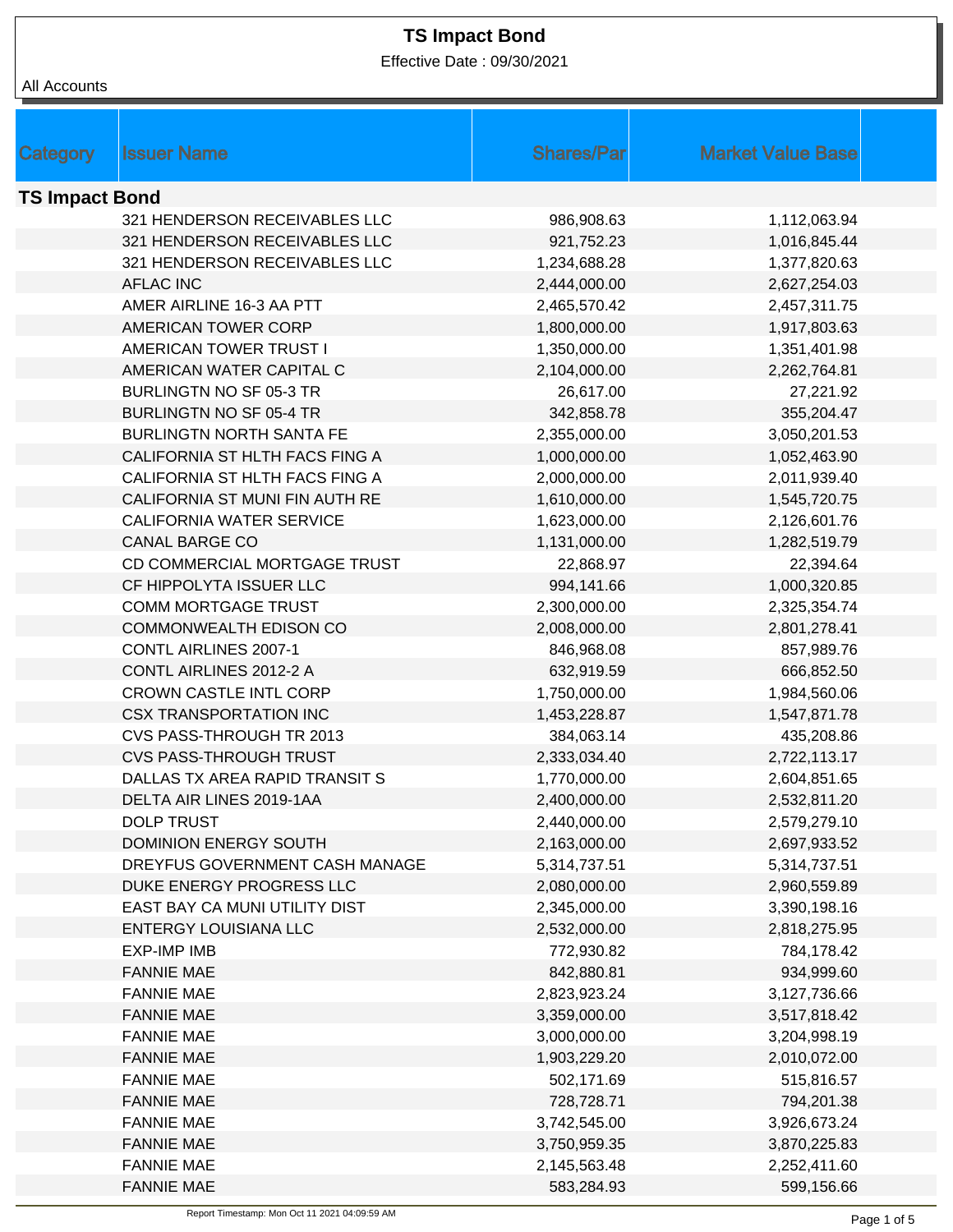Effective Date : 09/30/2021

| All Accounts          |                                        |                              |                              |
|-----------------------|----------------------------------------|------------------------------|------------------------------|
|                       |                                        |                              |                              |
|                       |                                        |                              |                              |
| Category              | <b>Issuer Name</b>                     | <b>Shares/Par</b>            | <b>Market Value Base</b>     |
| <b>TS Impact Bond</b> |                                        |                              |                              |
|                       | 321 HENDERSON RECEIVABLES LLC          | 986,908.63                   | 1,112,063.94                 |
|                       | 321 HENDERSON RECEIVABLES LLC          | 921,752.23                   | 1,016,845.44                 |
|                       | 321 HENDERSON RECEIVABLES LLC          | 1,234,688.28                 | 1,377,820.63                 |
|                       | <b>AFLAC INC</b>                       | 2,444,000.00                 | 2,627,254.03                 |
|                       | AMER AIRLINE 16-3 AA PTT               | 2,465,570.42                 | 2,457,311.75                 |
|                       | AMERICAN TOWER CORP                    | 1,800,000.00                 | 1,917,803.63                 |
|                       | AMERICAN TOWER TRUST I                 | 1,350,000.00                 | 1,351,401.98                 |
|                       | AMERICAN WATER CAPITAL C               | 2,104,000.00                 | 2,262,764.81                 |
|                       | BURLINGTN NO SF 05-3 TR                | 26,617.00                    | 27,221.92                    |
|                       | <b>BURLINGTN NO SF 05-4 TR</b>         | 342,858.78                   | 355,204.47                   |
|                       | <b>BURLINGTN NORTH SANTA FE</b>        | 2,355,000.00                 | 3,050,201.53                 |
|                       | CALIFORNIA ST HLTH FACS FING A         | 1,000,000.00                 | 1,052,463.90                 |
|                       | CALIFORNIA ST HLTH FACS FING A         | 2,000,000.00                 | 2,011,939.40                 |
|                       | CALIFORNIA ST MUNI FIN AUTH RE         | 1,610,000.00                 | 1,545,720.75                 |
|                       | <b>CALIFORNIA WATER SERVICE</b>        | 1,623,000.00                 | 2,126,601.76                 |
|                       | <b>CANAL BARGE CO</b>                  | 1,131,000.00                 | 1,282,519.79                 |
|                       | CD COMMERCIAL MORTGAGE TRUST           | 22,868.97                    | 22,394.64                    |
|                       | CF HIPPOLYTA ISSUER LLC                | 994,141.66                   | 1,000,320.85                 |
|                       | <b>COMM MORTGAGE TRUST</b>             | 2,300,000.00                 | 2,325,354.74                 |
|                       | <b>COMMONWEALTH EDISON CO</b>          | 2,008,000.00                 | 2,801,278.41                 |
|                       | <b>CONTL AIRLINES 2007-1</b>           | 846,968.08                   | 857,989.76                   |
|                       | CONTL AIRLINES 2012-2 A                | 632,919.59                   | 666,852.50                   |
|                       | <b>CROWN CASTLE INTL CORP</b>          | 1,750,000.00                 | 1,984,560.06                 |
|                       | <b>CSX TRANSPORTATION INC</b>          | 1,453,228.87                 | 1,547,871.78                 |
|                       | CVS PASS-THROUGH TR 2013               | 384,063.14                   | 435,208.86                   |
|                       | <b>CVS PASS-THROUGH TRUST</b>          | 2,333,034.40                 | 2,722,113.17                 |
|                       | DALLAS TX AREA RAPID TRANSIT S         | 1,770,000.00                 | 2,604,851.65                 |
|                       | DELTA AIR LINES 2019-1AA               | 2,400,000.00                 | 2,532,811.20                 |
|                       | <b>DOLP TRUST</b>                      | 2,440,000.00                 | 2,579,279.10                 |
|                       | <b>DOMINION ENERGY SOUTH</b>           | 2,163,000.00                 | 2,697,933.52                 |
|                       | DREYFUS GOVERNMENT CASH MANAGE         | 5,314,737.51                 | 5,314,737.51                 |
|                       | DUKE ENERGY PROGRESS LLC               | 2,080,000.00                 | 2,960,559.89                 |
|                       | EAST BAY CA MUNI UTILITY DIST          | 2,345,000.00                 | 3,390,198.16                 |
|                       | <b>ENTERGY LOUISIANA LLC</b>           | 2,532,000.00                 | 2,818,275.95                 |
|                       | <b>EXP-IMP IMB</b>                     | 772,930.82                   | 784,178.42                   |
|                       | <b>FANNIE MAE</b>                      | 842,880.81                   | 934,999.60                   |
|                       | <b>FANNIE MAE</b>                      | 2,823,923.24                 | 3,127,736.66                 |
|                       | <b>FANNIE MAE</b>                      | 3,359,000.00                 | 3,517,818.42                 |
|                       | <b>FANNIE MAE</b>                      | 3,000,000.00                 | 3,204,998.19                 |
|                       | <b>FANNIE MAE</b>                      | 1,903,229.20                 | 2,010,072.00                 |
|                       | <b>FANNIE MAE</b>                      | 502,171.69                   | 515,816.57                   |
|                       | <b>FANNIE MAE</b><br><b>FANNIE MAE</b> | 728,728.71                   | 794,201.38                   |
|                       | <b>FANNIE MAE</b>                      | 3,742,545.00<br>3,750,959.35 | 3,926,673.24                 |
|                       | <b>FANNIE MAE</b>                      | 2,145,563.48                 | 3,870,225.83<br>2,252,411.60 |
|                       | <b>FANNIE MAE</b>                      | 583,284.93                   | 599,156.66                   |
|                       |                                        |                              |                              |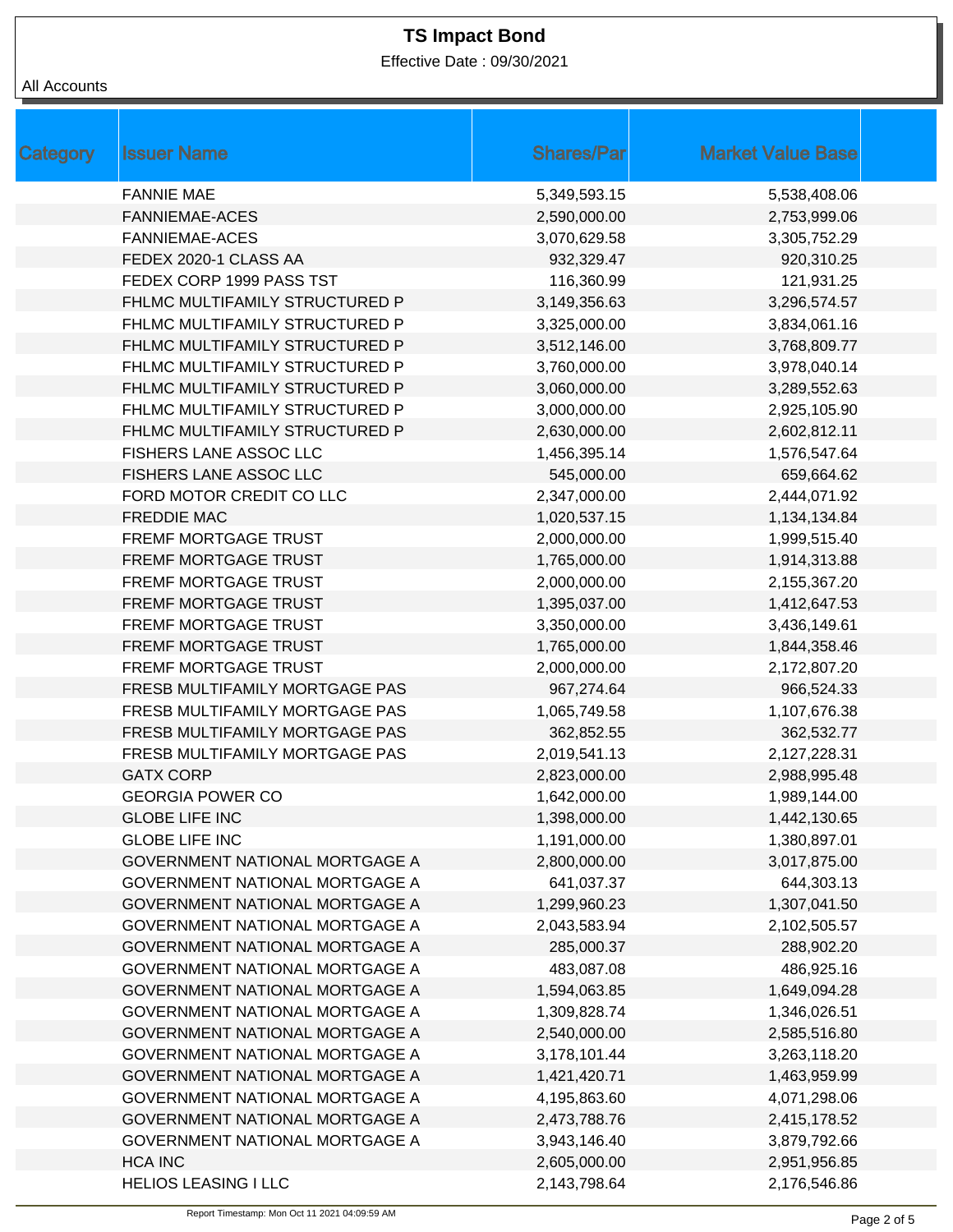Effective Date : 09/30/2021

### All Accounts

| <b>Category</b> | <b>Issuer Name</b>                    | <b>Shares/Par</b> | <b>Market Value Base</b> |
|-----------------|---------------------------------------|-------------------|--------------------------|
|                 | <b>FANNIE MAE</b>                     | 5,349,593.15      | 5,538,408.06             |
|                 | <b>FANNIEMAE-ACES</b>                 | 2,590,000.00      | 2,753,999.06             |
|                 | <b>FANNIEMAE-ACES</b>                 | 3,070,629.58      | 3,305,752.29             |
|                 | FEDEX 2020-1 CLASS AA                 | 932,329.47        | 920,310.25               |
|                 | FEDEX CORP 1999 PASS TST              | 116,360.99        | 121,931.25               |
|                 | FHLMC MULTIFAMILY STRUCTURED P        | 3,149,356.63      | 3,296,574.57             |
|                 | FHLMC MULTIFAMILY STRUCTURED P        | 3,325,000.00      | 3,834,061.16             |
|                 | FHLMC MULTIFAMILY STRUCTURED P        | 3,512,146.00      | 3,768,809.77             |
|                 | FHLMC MULTIFAMILY STRUCTURED P        | 3,760,000.00      | 3,978,040.14             |
|                 | FHLMC MULTIFAMILY STRUCTURED P        | 3,060,000.00      | 3,289,552.63             |
|                 | FHLMC MULTIFAMILY STRUCTURED P        | 3,000,000.00      | 2,925,105.90             |
|                 | FHLMC MULTIFAMILY STRUCTURED P        | 2,630,000.00      | 2,602,812.11             |
|                 | FISHERS LANE ASSOC LLC                | 1,456,395.14      | 1,576,547.64             |
|                 | FISHERS LANE ASSOC LLC                | 545,000.00        | 659,664.62               |
|                 | FORD MOTOR CREDIT CO LLC              | 2,347,000.00      | 2,444,071.92             |
|                 | <b>FREDDIE MAC</b>                    | 1,020,537.15      | 1,134,134.84             |
|                 | FREMF MORTGAGE TRUST                  | 2,000,000.00      | 1,999,515.40             |
|                 | FREMF MORTGAGE TRUST                  | 1,765,000.00      | 1,914,313.88             |
|                 | FREMF MORTGAGE TRUST                  | 2,000,000.00      | 2,155,367.20             |
|                 | FREMF MORTGAGE TRUST                  | 1,395,037.00      | 1,412,647.53             |
|                 | FREMF MORTGAGE TRUST                  | 3,350,000.00      | 3,436,149.61             |
|                 | FREMF MORTGAGE TRUST                  | 1,765,000.00      | 1,844,358.46             |
|                 | FREMF MORTGAGE TRUST                  | 2,000,000.00      | 2,172,807.20             |
|                 | FRESB MULTIFAMILY MORTGAGE PAS        | 967,274.64        | 966,524.33               |
|                 | FRESB MULTIFAMILY MORTGAGE PAS        | 1,065,749.58      | 1,107,676.38             |
|                 | FRESB MULTIFAMILY MORTGAGE PAS        | 362,852.55        | 362,532.77               |
|                 | FRESB MULTIFAMILY MORTGAGE PAS        | 2,019,541.13      | 2,127,228.31             |
|                 | <b>GATX CORP</b>                      | 2,823,000.00      | 2,988,995.48             |
|                 | <b>GEORGIA POWER CO</b>               | 1,642,000.00      | 1,989,144.00             |
|                 | <b>GLOBE LIFE INC</b>                 | 1,398,000.00      | 1,442,130.65             |
|                 | <b>GLOBE LIFE INC</b>                 | 1,191,000.00      | 1,380,897.01             |
|                 | <b>GOVERNMENT NATIONAL MORTGAGE A</b> | 2,800,000.00      | 3,017,875.00             |
|                 | <b>GOVERNMENT NATIONAL MORTGAGE A</b> | 641,037.37        | 644,303.13               |
|                 | <b>GOVERNMENT NATIONAL MORTGAGE A</b> | 1,299,960.23      | 1,307,041.50             |
|                 | GOVERNMENT NATIONAL MORTGAGE A        | 2,043,583.94      | 2,102,505.57             |
|                 | <b>GOVERNMENT NATIONAL MORTGAGE A</b> | 285,000.37        | 288,902.20               |
|                 | GOVERNMENT NATIONAL MORTGAGE A        | 483,087.08        | 486,925.16               |
|                 | <b>GOVERNMENT NATIONAL MORTGAGE A</b> | 1,594,063.85      | 1,649,094.28             |
|                 | <b>GOVERNMENT NATIONAL MORTGAGE A</b> | 1,309,828.74      | 1,346,026.51             |
|                 | <b>GOVERNMENT NATIONAL MORTGAGE A</b> | 2,540,000.00      | 2,585,516.80             |
|                 | GOVERNMENT NATIONAL MORTGAGE A        | 3,178,101.44      | 3,263,118.20             |
|                 | GOVERNMENT NATIONAL MORTGAGE A        | 1,421,420.71      | 1,463,959.99             |
|                 | GOVERNMENT NATIONAL MORTGAGE A        | 4,195,863.60      | 4,071,298.06             |
|                 | GOVERNMENT NATIONAL MORTGAGE A        | 2,473,788.76      | 2,415,178.52             |
|                 | <b>GOVERNMENT NATIONAL MORTGAGE A</b> | 3,943,146.40      | 3,879,792.66             |
|                 | <b>HCA INC</b>                        | 2,605,000.00      | 2,951,956.85             |
|                 | <b>HELIOS LEASING I LLC</b>           | 2,143,798.64      | 2,176,546.86             |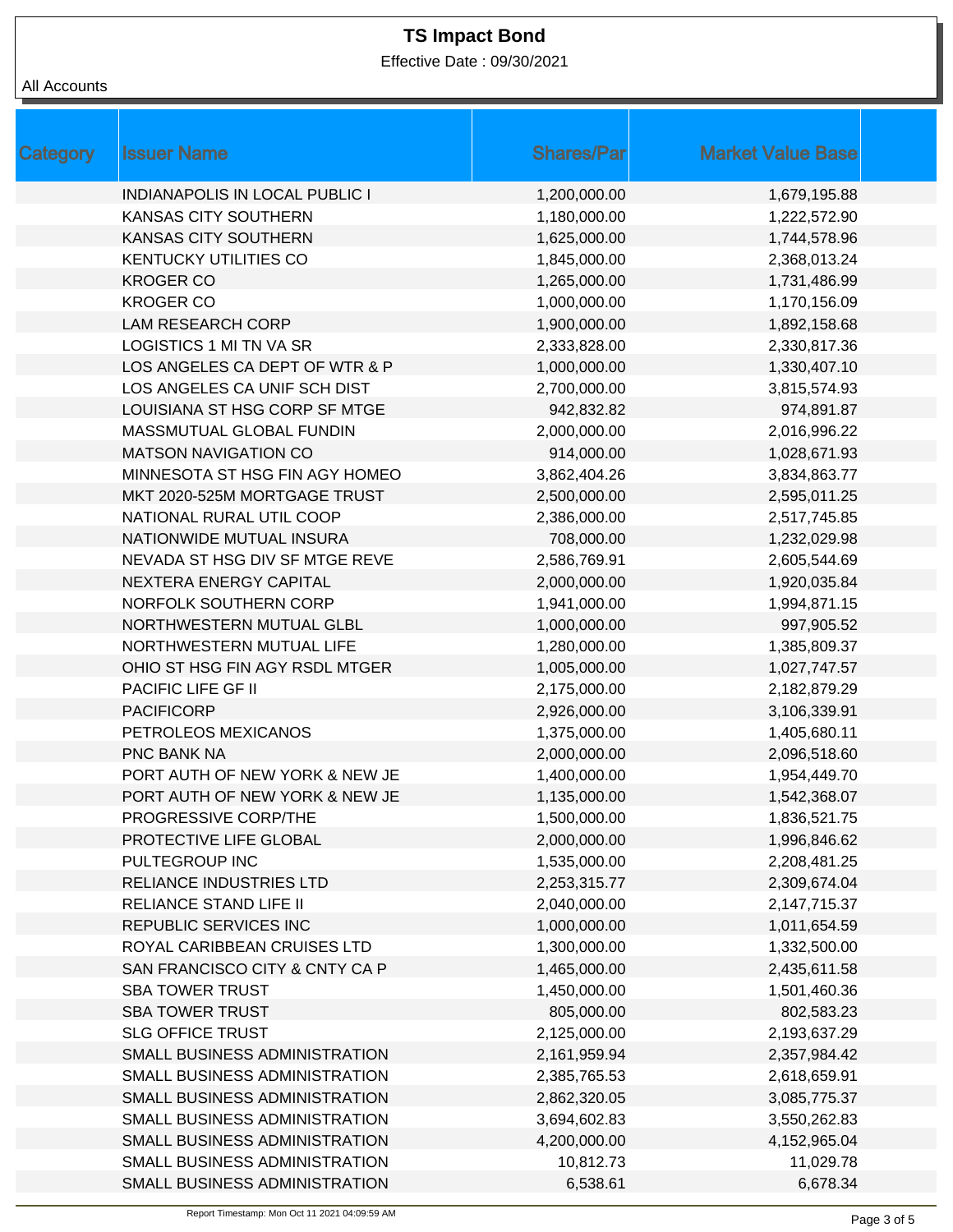Effective Date : 09/30/2021

### All Accounts

| <b>Category</b> | <b>Issuer Name</b>                    | <b>Shares/Par</b> | <b>Market Value Base</b> |
|-----------------|---------------------------------------|-------------------|--------------------------|
|                 | <b>INDIANAPOLIS IN LOCAL PUBLIC I</b> | 1,200,000.00      | 1,679,195.88             |
|                 | <b>KANSAS CITY SOUTHERN</b>           | 1,180,000.00      | 1,222,572.90             |
|                 | <b>KANSAS CITY SOUTHERN</b>           | 1,625,000.00      | 1,744,578.96             |
|                 | <b>KENTUCKY UTILITIES CO</b>          | 1,845,000.00      | 2,368,013.24             |
|                 | <b>KROGER CO</b>                      | 1,265,000.00      | 1,731,486.99             |
|                 | <b>KROGER CO</b>                      | 1,000,000.00      | 1,170,156.09             |
|                 | <b>LAM RESEARCH CORP</b>              | 1,900,000.00      | 1,892,158.68             |
|                 | LOGISTICS 1 MI TN VA SR               | 2,333,828.00      | 2,330,817.36             |
|                 | LOS ANGELES CA DEPT OF WTR & P        | 1,000,000.00      | 1,330,407.10             |
|                 | LOS ANGELES CA UNIF SCH DIST          | 2,700,000.00      | 3,815,574.93             |
|                 | LOUISIANA ST HSG CORP SF MTGE         | 942,832.82        | 974,891.87               |
|                 | MASSMUTUAL GLOBAL FUNDIN              | 2,000,000.00      | 2,016,996.22             |
|                 | <b>MATSON NAVIGATION CO</b>           | 914,000.00        | 1,028,671.93             |
|                 | MINNESOTA ST HSG FIN AGY HOMEO        | 3,862,404.26      | 3,834,863.77             |
|                 | MKT 2020-525M MORTGAGE TRUST          | 2,500,000.00      | 2,595,011.25             |
|                 | NATIONAL RURAL UTIL COOP              | 2,386,000.00      | 2,517,745.85             |
|                 | NATIONWIDE MUTUAL INSURA              | 708,000.00        | 1,232,029.98             |
|                 | NEVADA ST HSG DIV SF MTGE REVE        | 2,586,769.91      | 2,605,544.69             |
|                 | NEXTERA ENERGY CAPITAL                | 2,000,000.00      | 1,920,035.84             |
|                 | NORFOLK SOUTHERN CORP                 | 1,941,000.00      | 1,994,871.15             |
|                 | NORTHWESTERN MUTUAL GLBL              | 1,000,000.00      | 997,905.52               |
|                 | NORTHWESTERN MUTUAL LIFE              | 1,280,000.00      | 1,385,809.37             |
|                 | OHIO ST HSG FIN AGY RSDL MTGER        | 1,005,000.00      | 1,027,747.57             |
|                 | PACIFIC LIFE GF II                    | 2,175,000.00      | 2,182,879.29             |
|                 | <b>PACIFICORP</b>                     | 2,926,000.00      | 3,106,339.91             |
|                 | PETROLEOS MEXICANOS                   | 1,375,000.00      | 1,405,680.11             |
|                 | <b>PNC BANK NA</b>                    | 2,000,000.00      | 2,096,518.60             |
|                 | PORT AUTH OF NEW YORK & NEW JE        | 1,400,000.00      | 1,954,449.70             |
|                 | PORT AUTH OF NEW YORK & NEW JE        | 1,135,000.00      | 1,542,368.07             |
|                 | PROGRESSIVE CORP/THE                  | 1,500,000.00      | 1,836,521.75             |
|                 | PROTECTIVE LIFE GLOBAL                | 2,000,000.00      | 1,996,846.62             |
|                 | PULTEGROUP INC                        | 1,535,000.00      | 2,208,481.25             |
|                 | <b>RELIANCE INDUSTRIES LTD</b>        | 2,253,315.77      | 2,309,674.04             |
|                 | <b>RELIANCE STAND LIFE II</b>         | 2,040,000.00      | 2,147,715.37             |
|                 | REPUBLIC SERVICES INC                 | 1,000,000.00      | 1,011,654.59             |
|                 | ROYAL CARIBBEAN CRUISES LTD           | 1,300,000.00      | 1,332,500.00             |
|                 | SAN FRANCISCO CITY & CNTY CA P        | 1,465,000.00      | 2,435,611.58             |
|                 | <b>SBA TOWER TRUST</b>                | 1,450,000.00      | 1,501,460.36             |
|                 | <b>SBA TOWER TRUST</b>                | 805,000.00        | 802,583.23               |
|                 | <b>SLG OFFICE TRUST</b>               | 2,125,000.00      | 2,193,637.29             |
|                 | SMALL BUSINESS ADMINISTRATION         | 2,161,959.94      | 2,357,984.42             |
|                 | SMALL BUSINESS ADMINISTRATION         | 2,385,765.53      | 2,618,659.91             |
|                 | SMALL BUSINESS ADMINISTRATION         | 2,862,320.05      | 3,085,775.37             |
|                 | SMALL BUSINESS ADMINISTRATION         | 3,694,602.83      | 3,550,262.83             |
|                 | SMALL BUSINESS ADMINISTRATION         | 4,200,000.00      | 4,152,965.04             |
|                 | SMALL BUSINESS ADMINISTRATION         | 10,812.73         | 11,029.78                |
|                 | SMALL BUSINESS ADMINISTRATION         | 6,538.61          | 6,678.34                 |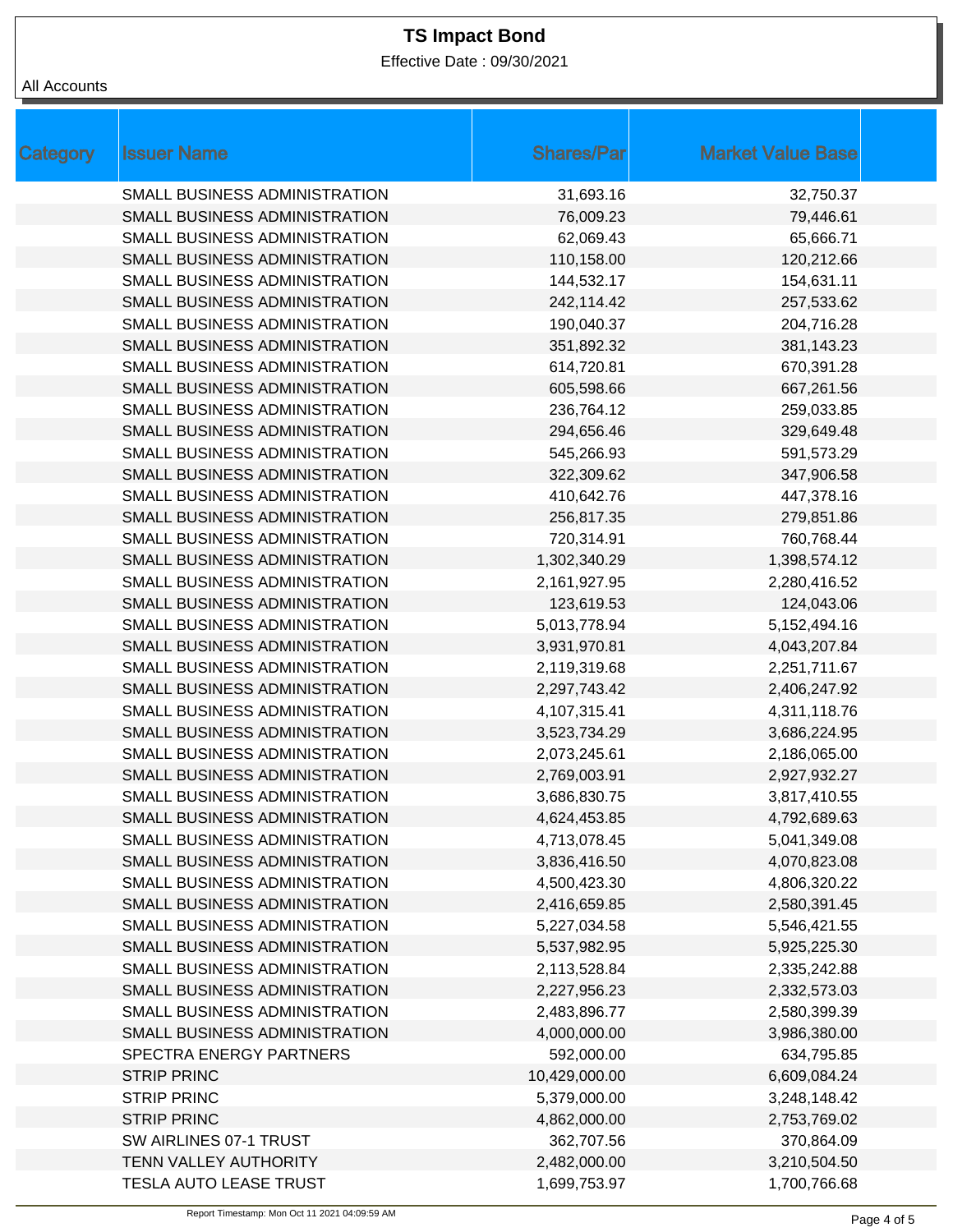Effective Date : 09/30/2021

| All Accounts |  |
|--------------|--|
|--------------|--|

| <b>Category</b> | <b>Issuer Name</b>            | <b>Shares/Par</b> | <b>Market Value Base</b> |
|-----------------|-------------------------------|-------------------|--------------------------|
|                 | SMALL BUSINESS ADMINISTRATION | 31,693.16         | 32,750.37                |
|                 | SMALL BUSINESS ADMINISTRATION | 76,009.23         | 79,446.61                |
|                 | SMALL BUSINESS ADMINISTRATION | 62,069.43         | 65,666.71                |
|                 | SMALL BUSINESS ADMINISTRATION | 110,158.00        | 120,212.66               |
|                 | SMALL BUSINESS ADMINISTRATION | 144,532.17        | 154,631.11               |
|                 | SMALL BUSINESS ADMINISTRATION | 242,114.42        | 257,533.62               |
|                 | SMALL BUSINESS ADMINISTRATION | 190,040.37        | 204,716.28               |
|                 | SMALL BUSINESS ADMINISTRATION | 351,892.32        | 381,143.23               |
|                 | SMALL BUSINESS ADMINISTRATION | 614,720.81        | 670,391.28               |
|                 | SMALL BUSINESS ADMINISTRATION | 605,598.66        | 667,261.56               |
|                 | SMALL BUSINESS ADMINISTRATION | 236,764.12        | 259,033.85               |
|                 | SMALL BUSINESS ADMINISTRATION | 294,656.46        | 329,649.48               |
|                 | SMALL BUSINESS ADMINISTRATION | 545,266.93        | 591,573.29               |
|                 | SMALL BUSINESS ADMINISTRATION | 322,309.62        | 347,906.58               |
|                 | SMALL BUSINESS ADMINISTRATION | 410,642.76        | 447,378.16               |
|                 | SMALL BUSINESS ADMINISTRATION | 256,817.35        | 279,851.86               |
|                 | SMALL BUSINESS ADMINISTRATION | 720,314.91        | 760,768.44               |
|                 | SMALL BUSINESS ADMINISTRATION | 1,302,340.29      | 1,398,574.12             |
|                 | SMALL BUSINESS ADMINISTRATION | 2,161,927.95      | 2,280,416.52             |
|                 | SMALL BUSINESS ADMINISTRATION | 123,619.53        | 124,043.06               |
|                 | SMALL BUSINESS ADMINISTRATION | 5,013,778.94      | 5,152,494.16             |
|                 | SMALL BUSINESS ADMINISTRATION | 3,931,970.81      | 4,043,207.84             |
|                 | SMALL BUSINESS ADMINISTRATION | 2,119,319.68      | 2,251,711.67             |
|                 | SMALL BUSINESS ADMINISTRATION | 2,297,743.42      | 2,406,247.92             |
|                 | SMALL BUSINESS ADMINISTRATION | 4,107,315.41      | 4,311,118.76             |
|                 | SMALL BUSINESS ADMINISTRATION | 3,523,734.29      | 3,686,224.95             |
|                 | SMALL BUSINESS ADMINISTRATION | 2,073,245.61      | 2,186,065.00             |
|                 | SMALL BUSINESS ADMINISTRATION | 2,769,003.91      | 2,927,932.27             |
|                 | SMALL BUSINESS ADMINISTRATION | 3,686,830.75      | 3,817,410.55             |
|                 | SMALL BUSINESS ADMINISTRATION | 4,624,453.85      | 4,792,689.63             |
|                 | SMALL BUSINESS ADMINISTRATION | 4,713,078.45      | 5,041,349.08             |
|                 | SMALL BUSINESS ADMINISTRATION | 3,836,416.50      | 4,070,823.08             |
|                 | SMALL BUSINESS ADMINISTRATION | 4,500,423.30      | 4,806,320.22             |
|                 | SMALL BUSINESS ADMINISTRATION | 2,416,659.85      | 2,580,391.45             |
|                 | SMALL BUSINESS ADMINISTRATION | 5,227,034.58      | 5,546,421.55             |
|                 | SMALL BUSINESS ADMINISTRATION | 5,537,982.95      | 5,925,225.30             |
|                 | SMALL BUSINESS ADMINISTRATION | 2,113,528.84      | 2,335,242.88             |
|                 | SMALL BUSINESS ADMINISTRATION | 2,227,956.23      | 2,332,573.03             |
|                 | SMALL BUSINESS ADMINISTRATION | 2,483,896.77      | 2,580,399.39             |
|                 | SMALL BUSINESS ADMINISTRATION | 4,000,000.00      | 3,986,380.00             |
|                 | SPECTRA ENERGY PARTNERS       | 592,000.00        | 634,795.85               |
|                 | <b>STRIP PRINC</b>            | 10,429,000.00     | 6,609,084.24             |
|                 | <b>STRIP PRINC</b>            | 5,379,000.00      | 3,248,148.42             |
|                 | <b>STRIP PRINC</b>            | 4,862,000.00      | 2,753,769.02             |
|                 | SW AIRLINES 07-1 TRUST        | 362,707.56        | 370,864.09               |
|                 | TENN VALLEY AUTHORITY         | 2,482,000.00      | 3,210,504.50             |
|                 | TESLA AUTO LEASE TRUST        | 1,699,753.97      | 1,700,766.68             |